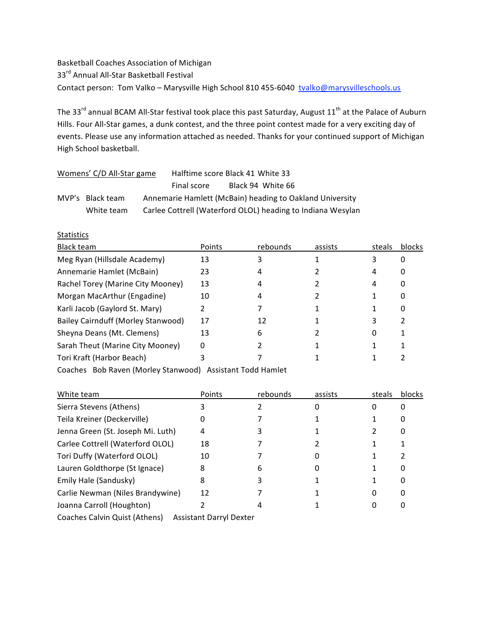Basketball Coaches Association of Michigan 33rd Annual All‐Star Basketball Festival Contact person: Tom Valko – Marysville High School 810 455-6040 tvalko@marysvilleschools.us

The 33<sup>rd</sup> annual BCAM All-Star festival took place this past Saturday, August 11<sup>th</sup> at the Palace of Auburn Hills. Four All‐Star games, a dunk contest, and the three point contest made for a very exciting day of events. Please use any information attached as needed. Thanks for your continued support of Michigan High School basketball.

| Womens' C/D All-Star game |                  | Halftime score Black 41 White 33 |             |  |                                                             |  |
|---------------------------|------------------|----------------------------------|-------------|--|-------------------------------------------------------------|--|
|                           |                  |                                  | Final score |  | Black 94 White 66                                           |  |
|                           | MVP's Black team |                                  |             |  | Annemarie Hamlett (McBain) heading to Oakland University    |  |
|                           | White team       |                                  |             |  | Carlee Cottrell (Waterford OLOL) heading to Indiana Wesylan |  |

**Statistics** 

| Black team                         | Points | rebounds | assists | steals | blocks |
|------------------------------------|--------|----------|---------|--------|--------|
| Meg Ryan (Hillsdale Academy)       | 13     |          |         | 3      | 0      |
| Annemarie Hamlet (McBain)          | 23     |          |         | 4      | 0      |
| Rachel Torey (Marine City Mooney)  | 13     | 4        |         | 4      | 0      |
| Morgan MacArthur (Engadine)        | 10     | 4        |         |        | 0      |
| Karli Jacob (Gaylord St. Mary)     |        |          |         |        | 0      |
| Bailey Cairnduff (Morley Stanwood) | 17     | 12       |         | 3      |        |
| Sheyna Deans (Mt. Clemens)         | 13     | 6        |         |        |        |
| Sarah Theut (Marine City Mooney)   | 0      |          |         |        |        |
| Tori Kraft (Harbor Beach)          |        |          |         |        |        |

Coaches Bob Raven (Morley Stanwood) Assistant Todd Hamlet

| White team                        | Points                         | rebounds | assists | steals | blocks |
|-----------------------------------|--------------------------------|----------|---------|--------|--------|
| Sierra Stevens (Athens)           |                                |          |         | 0      | 0      |
| Teila Kreiner (Deckerville)       |                                |          |         |        | 0      |
| Jenna Green (St. Joseph Mi. Luth) | 4                              |          |         |        | 0      |
| Carlee Cottrell (Waterford OLOL)  | 18                             |          |         |        |        |
| Tori Duffy (Waterford OLOL)       | 10                             |          |         |        |        |
| Lauren Goldthorpe (St Ignace)     | 8                              | 6        |         |        | 0      |
| Emily Hale (Sandusky)             | 8                              |          |         |        | 0      |
| Carlie Newman (Niles Brandywine)  | 12                             |          |         | 0      | 0      |
| Joanna Carroll (Houghton)         |                                |          |         |        | 0      |
| Coaches Calvin Quist (Athens)     | <b>Assistant Darryl Dexter</b> |          |         |        |        |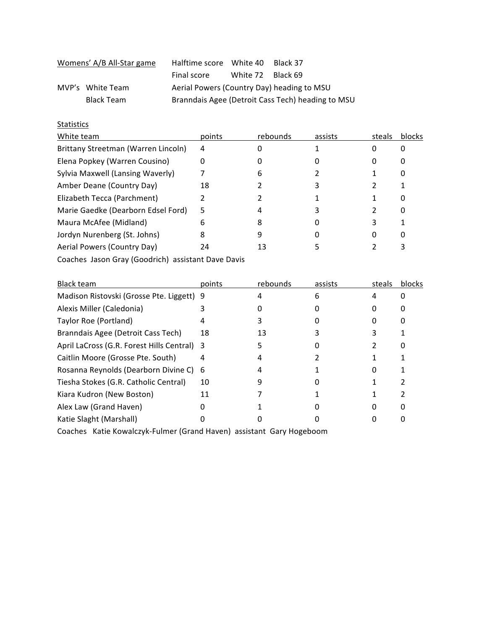|  | Womens' A/B All-Star game | Halftime score White 40                           |                   | Black 37 |  |
|--|---------------------------|---------------------------------------------------|-------------------|----------|--|
|  |                           | Final score                                       | White 72 Black 69 |          |  |
|  | MVP's White Team          | Aerial Powers (Country Day) heading to MSU        |                   |          |  |
|  | Black Team                | Branndais Agee (Detroit Cass Tech) heading to MSU |                   |          |  |

## **Statistics**

| points<br>assists<br>rebounds<br>steals       | blocks |
|-----------------------------------------------|--------|
| Brittany Streetman (Warren Lincoln)<br>4<br>0 |        |
| Elena Popkey (Warren Cousino)<br>0<br>O       |        |
| Sylvia Maxwell (Lansing Waverly)<br>b         |        |
| 18                                            |        |
|                                               |        |
| Marie Gaedke (Dearborn Edsel Ford)<br>5       |        |
| 3<br>8<br>6                                   |        |
| 8<br>0                                        |        |
| 24<br>13                                      |        |
|                                               |        |

Coaches Jason Gray (Goodrich) assistant Dave Davis

| <b>Black team</b>                         | points | rebounds | assists | steals | blocks |
|-------------------------------------------|--------|----------|---------|--------|--------|
| Madison Ristovski (Grosse Pte. Liggett)   | 9      |          |         |        |        |
| Alexis Miller (Caledonia)                 |        |          |         |        |        |
| Taylor Roe (Portland)                     |        |          |         |        |        |
| Branndais Agee (Detroit Cass Tech)        | 18     | 13       |         |        |        |
| April LaCross (G.R. Forest Hills Central) | 3      |          |         |        |        |
| Caitlin Moore (Grosse Pte. South)         | 4      |          |         |        |        |
| Rosanna Reynolds (Dearborn Divine C)      | 6      |          |         |        |        |
| Tiesha Stokes (G.R. Catholic Central)     | 10     |          |         |        |        |
| Kiara Kudron (New Boston)                 | 11     |          |         |        |        |
| Alex Law (Grand Haven)                    |        |          |         |        |        |
| Katie Slaght (Marshall)                   |        |          |         |        |        |
|                                           |        |          |         |        |        |

Coaches Katie Kowalczyk‐Fulmer (Grand Haven) assistant Gary Hogeboom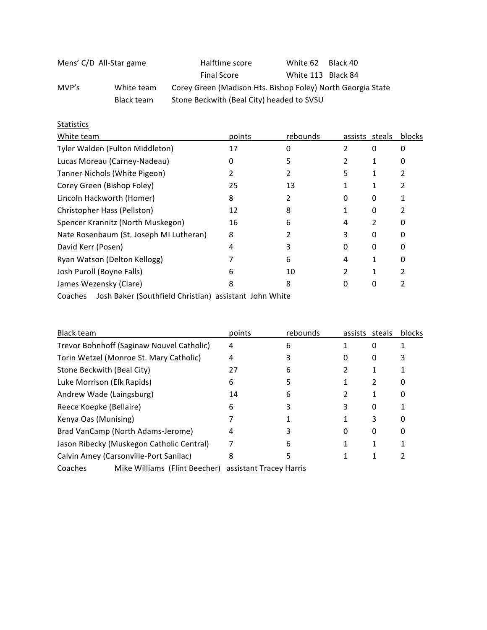| Mens' C/D All-Star game |            | Halftime score                                              | White 62           | Black 40 |  |
|-------------------------|------------|-------------------------------------------------------------|--------------------|----------|--|
|                         |            | <b>Final Score</b>                                          | White 113 Black 84 |          |  |
| MVP's                   | White team | Corey Green (Madison Hts. Bishop Foley) North Georgia State |                    |          |  |
|                         | Black team | Stone Beckwith (Beal City) headed to SVSU                   |                    |          |  |

## **Statistics**

| White team                              | points | rebounds |   | assists steals | blocks |
|-----------------------------------------|--------|----------|---|----------------|--------|
| Tyler Walden (Fulton Middleton)         | 17     |          |   | 0              |        |
| Lucas Moreau (Carney-Nadeau)            |        |          |   |                |        |
| Tanner Nichols (White Pigeon)           |        |          | 5 |                |        |
| Corey Green (Bishop Foley)              | 25     | 13       |   |                |        |
| Lincoln Hackworth (Homer)               | 8      |          |   | 0              |        |
| Christopher Hass (Pellston)             | 12     | 8        |   | 0              |        |
| Spencer Krannitz (North Muskegon)       | 16     | 6        |   |                |        |
| Nate Rosenbaum (St. Joseph MI Lutheran) | 8      |          |   |                |        |
| David Kerr (Posen)                      |        |          |   | 0              |        |
| Ryan Watson (Delton Kellogg)            |        | 6        |   |                |        |
| Josh Puroll (Boyne Falls)               |        | 10       |   |                |        |
| James Wezensky (Clare)                  |        |          |   | 0              |        |
|                                         |        |          |   |                |        |

Coaches Josh Baker (Southfield Christian) assistant John White

| <b>Black team</b>                         |                               | points                  | rebounds | assists | steals | <b>blocks</b> |
|-------------------------------------------|-------------------------------|-------------------------|----------|---------|--------|---------------|
| Trevor Bohnhoff (Saginaw Nouvel Catholic) |                               | 4                       | 6        |         | 0      |               |
| Torin Wetzel (Monroe St. Mary Catholic)   |                               | 4                       |          |         | 0      |               |
| Stone Beckwith (Beal City)                |                               | 27                      | 6        |         |        |               |
| Luke Morrison (Elk Rapids)                |                               | 6                       |          |         | 2      | 0             |
| Andrew Wade (Laingsburg)                  |                               | 14                      | 6        |         |        | 0             |
| Reece Koepke (Bellaire)                   |                               | 6                       |          | 3       | 0      |               |
| Kenya Oas (Munising)                      |                               |                         |          |         | 3      | 0             |
| Brad VanCamp (North Adams-Jerome)         |                               | 4                       |          |         | 0      | 0             |
| Jason Ribecky (Muskegon Catholic Central) |                               |                         | 6        |         |        |               |
| Calvin Amey (Carsonville-Port Sanilac)    |                               | 8                       |          |         |        |               |
| Coaches                                   | Mike Williams (Flint Beecher) | assistant Tracey Harris |          |         |        |               |